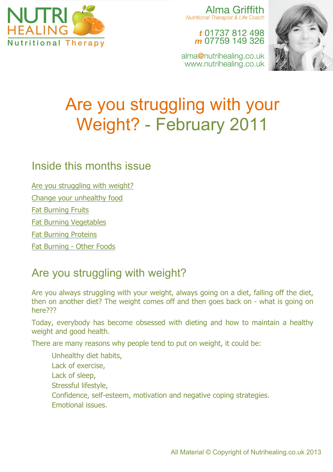

Alma Griffith **Nutritional Therapist & Life Coach** 

> t 01737 812 498 m 07759 149 326

alma@nutrihealing.co.uk www.nutrihealing.co.uk



# Are you struggling with your Weight? - February 2011

### Inside this months issue

Are you struggling with weight?

Change your unhealthy food

Fat Burning Fruits

Fat Burning Vegetables

Fat Burning Proteins

Fat Burning - Other Foods

## Are you struggling with weight?

Are you always struggling with your weight, always going on a diet, falling off the diet, then on another diet? The weight comes off and then goes back on - what is going on here???

Today, everybody has become obsessed with dieting and how to maintain a healthy weight and good health.

There are many reasons why people tend to put on weight, it could be:

Unhealthy diet habits, Lack of exercise, Lack of sleep, Stressful lifestyle, Confidence, self-esteem, motivation and negative coping strategies. Emotional issues.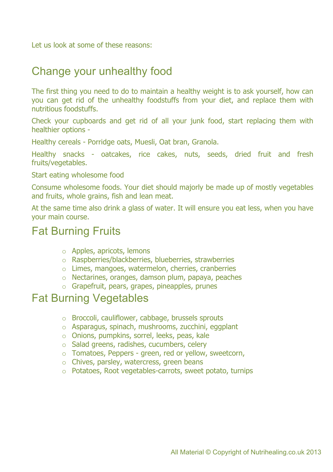Let us look at some of these reasons:

### Change your unhealthy food

The first thing you need to do to maintain a healthy weight is to ask yourself, how can you can get rid of the unhealthy foodstuffs from your diet, and replace them with nutritious foodstuffs.

Check your cupboards and get rid of all your junk food, start replacing them with healthier options -

Healthy cereals - Porridge oats, Muesli, Oat bran, Granola.

Healthy snacks - oatcakes, rice cakes, nuts, seeds, dried fruit and fresh fruits/vegetables.

Start eating wholesome food

Consume wholesome foods. Your diet should majorly be made up of mostly vegetables and fruits, whole grains, fish and lean meat.

At the same time also drink a glass of water. It will ensure you eat less, when you have your main course.

### Fat Burning Fruits

- o Apples, apricots, lemons
- o Raspberries/blackberries, blueberries, strawberries
- o Limes, mangoes, watermelon, cherries, cranberries
- o Nectarines, oranges, damson plum, papaya, peaches
- o Grapefruit, pears, grapes, pineapples, prunes

### Fat Burning Vegetables

- o Broccoli, cauliflower, cabbage, brussels sprouts
- o Asparagus, spinach, mushrooms, zucchini, eggplant
- o Onions, pumpkins, sorrel, leeks, peas, kale
- o Salad greens, radishes, cucumbers, celery
- o Tomatoes, Peppers green, red or yellow, sweetcorn,
- o Chives, parsley, watercress, green beans
- o Potatoes, Root vegetables-carrots, sweet potato, turnips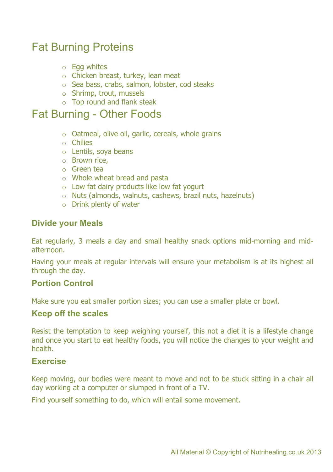### Fat Burning Proteins

- $\circ$  Egg whites
- o Chicken breast, turkey, lean meat
- o Sea bass, crabs, salmon, lobster, cod steaks
- o Shrimp, trout, mussels
- o Top round and flank steak

### Fat Burning - Other Foods

- o Oatmeal, olive oil, garlic, cereals, whole grains
- o Chilies
- o Lentils, soya beans
- o Brown rice,
- o Green tea
- o Whole wheat bread and pasta
- $\circ$  Low fat dairy products like low fat yogurt
- o Nuts (almonds, walnuts, cashews, brazil nuts, hazelnuts)
- o Drink plenty of water

#### **Divide your Meals**

Eat regularly, 3 meals a day and small healthy snack options mid-morning and midafternoon.

Having your meals at regular intervals will ensure your metabolism is at its highest all through the day.

#### **Portion Control**

Make sure you eat smaller portion sizes; you can use a smaller plate or bowl.

#### **Keep off the scales**

Resist the temptation to keep weighing yourself, this not a diet it is a lifestyle change and once you start to eat healthy foods, you will notice the changes to your weight and health.

#### **Exercise**

Keep moving, our bodies were meant to move and not to be stuck sitting in a chair all day working at a computer or slumped in front of a TV.

Find yourself something to do, which will entail some movement.